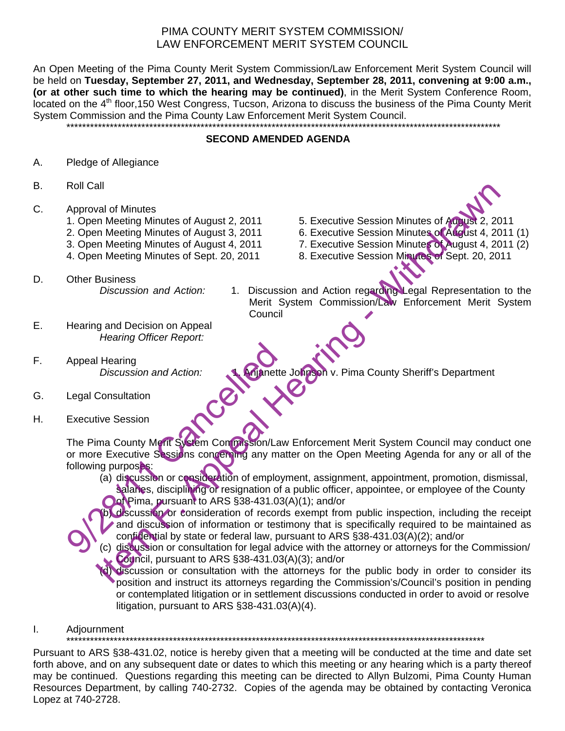# PIMA COUNTY MERIT SYSTEM COMMISSION/ LAW ENFORCEMENT MERIT SYSTEM COUNCIL

An Open Meeting of the Pima County Merit System Commission/Law Enforcement Merit System Council will be held on **Tuesday, September 27, 2011, and Wednesday, September 28, 2011, convening at 9:00 a.m., (or at other such time to which the hearing may be continued)**, in the Merit System Conference Room, located on the 4<sup>th</sup> floor,150 West Congress, Tucson, Arizona to discuss the business of the Pima County Merit System Commission and the Pima County Law Enforcement Merit System Council.

#### **SECOND AMENDED AGENDA**

\*\*\*\*\*\*\*\*\*\*\*\*\*\*\*\*\*\*\*\*\*\*\*\*\*\*\*\*\*\*\*\*\*\*\*\*\*\*\*\*\*\*\*\*\*\*\*\*\*\*\*\*\*\*\*\*\*\*\*\*\*\*\*\*\*\*\*\*\*\*\*\*\*\*\*\*\*\*\*\*\*\*\*\*\*\*\*\*\*\*\*\*\*\*\*\*\*\*\*\*\*\*\*\*\*\*\*\*\*\*

- A. Pledge of Allegiance
- B. Roll Call
- C. Approval of Minutes
	- 1. Open Meeting Minutes of August 2, 2011 5. Executive Session Minutes of August 2, 2011
	- 2. Open Meeting Minutes of August 3, 2011 6. Executive Session Minutes of August 4, 2011 (1)
	- 3. Open Meeting Minutes of August 4, 2011 7. Executive Session Minutes of August 4, 2011 (2)
	- 4. Open Meeting Minutes of Sept. 20, 2011 8. Executive Session Minutes of Sept. 20, 2011
- 
- 
- 

D. Other Business

*Discussion and Action:* 1. Discussion and Action regarding Legal Representation to the Merit System Commission/Law Enforcement Merit System **Council** 

E. Hearing and Decision on Appeal *Hearing Officer Report:* 

F. Appeal Hearing

Discussion and Action:<br> **1. Anjanette Johnson** v. Pima County Sheriff's Department<br>
Ve Session

- G. Legal Consultation
- H. Executive Session

The Pima County Merit System Commission/Law Enforcement Merit System Council may conduct one or more Executive Sessions concerning any matter on the Open Meeting Agenda for any or all of the following purposes: Appeal Hearing<br>
Discussion and Action:<br>
Legal Consultation<br>
Executive Session<br>
The Pima County Merit System Commission/Law<br>
or more Executive Sessions concerning any mat<br>
following purposes:<br>
(a) discussion or consideratio The Constitution of August 2, 2011<br>
In Meeting Minutes of August 2, 2011<br>
In Meeting Minutes of August 4, 2011<br>
In Meeting Minutes of August 4, 2011<br>
In Meeting Minutes of August 4, 2011<br>
The Meeting Minutes of Sept. 20, 2

(a) discussion or consideration of employment, assignment, appointment, promotion, dismissal, salaries, disciplining or resignation of a public officer, appointee, or employee of the County **Oof Pima, pursuant to ARS §38-431.03(A)(1); and/or** 

(b) discussion or consideration of records exempt from public inspection, including the receipt and discussion of information or testimony that is specifically required to be maintained as confidential by state or federal law, pursuant to ARS §38-431.03(A)(2); and/or

(c) discussion or consultation for legal advice with the attorney or attorneys for the Commission/ Council, pursuant to ARS §38-431.03(A)(3); and/or

(d) discussion or consultation with the attorneys for the public body in order to consider its position and instruct its attorneys regarding the Commission's/Council's position in pending or contemplated litigation or in settlement discussions conducted in order to avoid or resolve litigation, pursuant to ARS §38-431.03(A)(4).

I. Adjournment

\*\*\*\*\*\*\*\*\*\*\*\*\*\*\*\*\*\*\*\*\*\*\*\*\*\*\*\*\*\*\*\*\*\*\*\*\*\*\*\*\*\*\*\*\*\*\*\*\*\*\*\*\*\*\*\*\*\*\*\*\*\*\*\*\*\*\*\*\*\*\*\*\*\*\*\*\*\*\*\*\*\*\*\*\*\*\*\*\*\*\*\*\*\*\*\*\*\*\*\*\*\*\*\*\*\*

Pursuant to ARS §38-431.02, notice is hereby given that a meeting will be conducted at the time and date set forth above, and on any subsequent date or dates to which this meeting or any hearing which is a party thereof may be continued. Questions regarding this meeting can be directed to Allyn Bulzomi, Pima County Human Resources Department, by calling 740-2732. Copies of the agenda may be obtained by contacting Veronica Lopez at 740-2728.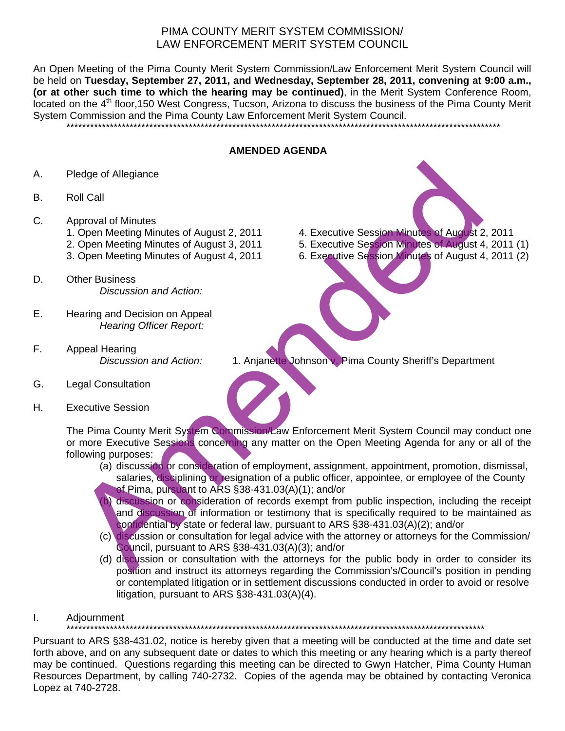# PIMA COUNTY MERIT SYSTEM COMMISSION/ LAW ENFORCEMENT MERIT SYSTEM COUNCIL

An Open Meeting of the Pima County Merit System Commission/Law Enforcement Merit System Council will be held on **Tuesday, September 27, 2011, and Wednesday, September 28, 2011, convening at 9:00 a.m., (or at other such time to which the hearing may be continued)**, in the Merit System Conference Room, located on the 4<sup>th</sup> floor,150 West Congress, Tucson, Arizona to discuss the business of the Pima County Merit System Commission and the Pima County Law Enforcement Merit System Council.

\*\*\*\*\*\*\*\*\*\*\*\*\*\*\*\*\*\*\*\*\*\*\*\*\*\*\*\*\*\*\*\*\*\*\*\*\*\*\*\*\*\*\*\*\*\*\*\*\*\*\*\*\*\*\*\*\*\*\*\*\*\*\*\*\*\*\*\*\*\*\*\*\*\*\*\*\*\*\*\*\*\*\*\*\*\*\*\*\*\*\*\*\*\*\*\*\*\*\*\*\*\*\*\*\*\*\*\*\*\*

#### **AMENDED AGENDA**

- A. Pledge of Allegiance
- B. Roll Call
- C. Approval of Minutes
	- 1. Open Meeting Minutes of August 2, 2011 4. Executive Session Minutes of August 2, 2011
	- 2. Open Meeting Minutes of August 3, 2011 5. Executive Session Minutes of August 4, 2011 (1)
	- 3. Open Meeting Minutes of August 4, 2011 6. Executive Session Minutes of August 4, 2011 (2)
- D. Other Business *Discussion and Action:*
- E. Hearing and Decision on Appeal *Hearing Officer Report:*
- F. Appeal Hearing
	- *Discussion and Action:* 1. Anjanette Johnson v. Pima County Sheriff's Department
- G. Legal Consultation
- H. Executive Session

The Pima County Merit System Commission/Law Enforcement Merit System Council may conduct one or more Executive Sessions concerning any matter on the Open Meeting Agenda for any or all of the following purposes: Pledge of Allegiance<br>
Collected Minutes of August 2, 2011<br>
... Open Meeting Minutes of August 2, 2011<br>
... Open Meeting Minutes of August 4, 2011<br>
... Open Meeting Minutes of August 4, 2011<br>
... Open Meeting Minutes of Aug

- (a) discussion or consideration of employment, assignment, appointment, promotion, dismissal, salaries, disciplining or resignation of a public officer, appointee, or employee of the County of Pima, pursuant to ARS §38-431.03(A)(1); and/or
	- b) discussion or consideration of records exempt from public inspection, including the receipt and discussion of information or testimony that is specifically required to be maintained as confidential by state or federal law, pursuant to ARS §38-431.03(A)(2); and/or
- (c) discussion or consultation for legal advice with the attorney or attorneys for the Commission/ Council, pursuant to ARS §38-431.03(A)(3); and/or
- (d) discussion or consultation with the attorneys for the public body in order to consider its position and instruct its attorneys regarding the Commission's/Council's position in pending or contemplated litigation or in settlement discussions conducted in order to avoid or resolve litigation, pursuant to ARS §38-431.03(A)(4).
- I. Adjournment

\*\*\*\*\*\*\*\*\*\*\*\*\*\*\*\*\*\*\*\*\*\*\*\*\*\*\*\*\*\*\*\*\*\*\*\*\*\*\*\*\*\*\*\*\*\*\*\*\*\*\*\*\*\*\*\*\*\*\*\*\*\*\*\*\*\*\*\*\*\*\*\*\*\*\*\*\*\*\*\*\*\*\*\*\*\*\*\*\*\*\*\*\*\*\*\*\*\*\*\*\*\*\*\*\*\*

Pursuant to ARS §38-431.02, notice is hereby given that a meeting will be conducted at the time and date set forth above, and on any subsequent date or dates to which this meeting or any hearing which is a party thereof may be continued. Questions regarding this meeting can be directed to Gwyn Hatcher, Pima County Human Resources Department, by calling 740-2732. Copies of the agenda may be obtained by contacting Veronica Lopez at 740-2728.

- 
- 
-